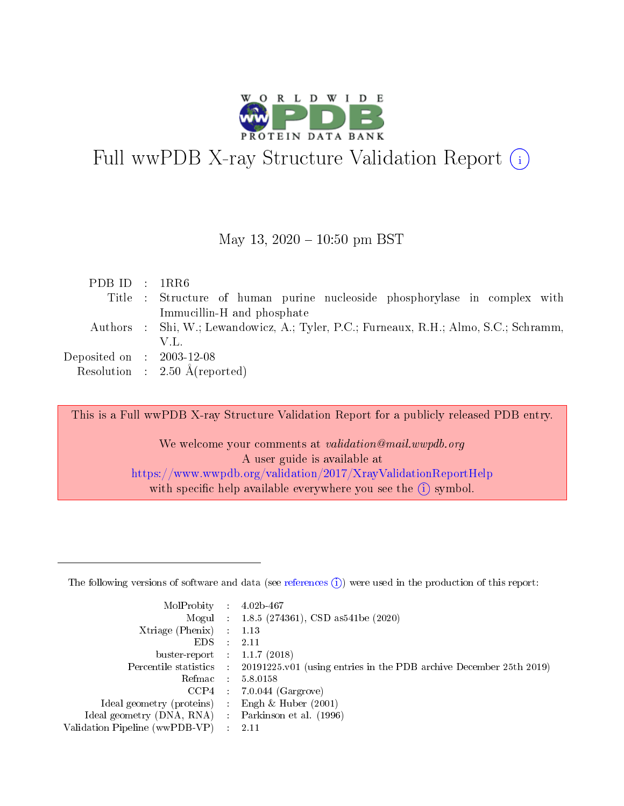

# Full wwPDB X-ray Structure Validation Report  $(i)$

#### May 13,  $2020 - 10:50$  pm BST

| PDB ID : $1RR6$                      |                                                                                       |
|--------------------------------------|---------------------------------------------------------------------------------------|
|                                      | Title : Structure of human purine nucleoside phosphorylase in complex with            |
|                                      | Immucillin-H and phosphate                                                            |
|                                      | Authors : Shi, W.; Lewandowicz, A.; Tyler, P.C.; Furneaux, R.H.; Almo, S.C.; Schramm, |
|                                      | V.L.                                                                                  |
| Deposited on $\therefore$ 2003-12-08 |                                                                                       |
|                                      | Resolution : $2.50 \text{ Å}$ (reported)                                              |

This is a Full wwPDB X-ray Structure Validation Report for a publicly released PDB entry.

We welcome your comments at validation@mail.wwpdb.org A user guide is available at <https://www.wwpdb.org/validation/2017/XrayValidationReportHelp> with specific help available everywhere you see the  $(i)$  symbol.

The following versions of software and data (see [references](https://www.wwpdb.org/validation/2017/XrayValidationReportHelp#references)  $(1)$ ) were used in the production of this report:

| MolProbity :                   |               | $4.02b - 467$                                                                |
|--------------------------------|---------------|------------------------------------------------------------------------------|
|                                |               | Mogul : $1.8.5$ (274361), CSD as 541be (2020)                                |
| Xtriage (Phenix)               | $\mathcal{L}$ | 1.13                                                                         |
| EDS.                           |               | 2.11                                                                         |
| buster-report : $1.1.7$ (2018) |               |                                                                              |
| Percentile statistics :        |               | $20191225 \text{ v}01$ (using entries in the PDB archive December 25th 2019) |
| Refmac :                       |               | 5.8.0158                                                                     |
| CCP4                           |               | $7.0.044$ (Gargrove)                                                         |
| Ideal geometry (proteins) :    |               | Engh $\&$ Huber (2001)                                                       |
| Ideal geometry (DNA, RNA) :    |               | Parkinson et al. (1996)                                                      |
| Validation Pipeline (wwPDB-VP) | $\mathcal{L}$ | 2.11                                                                         |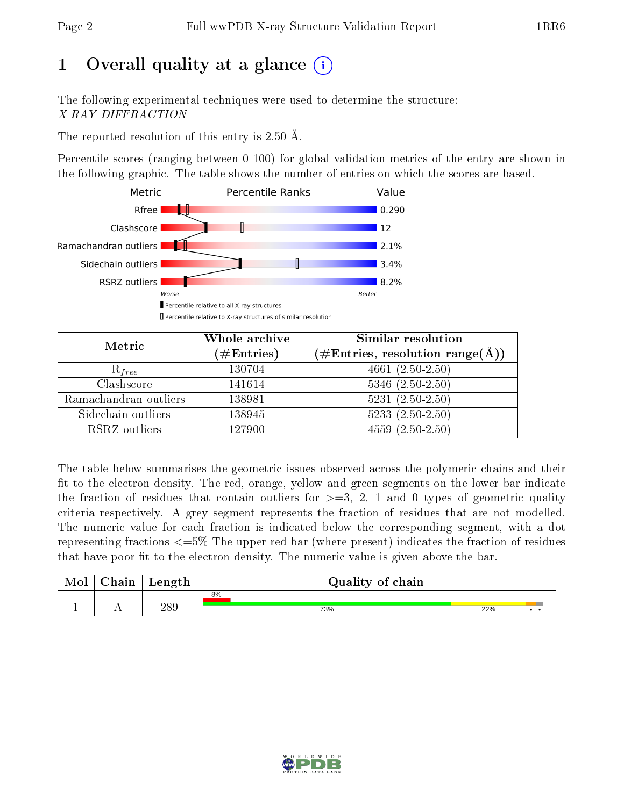# 1 [O](https://www.wwpdb.org/validation/2017/XrayValidationReportHelp#overall_quality)verall quality at a glance  $(i)$

The following experimental techniques were used to determine the structure: X-RAY DIFFRACTION

The reported resolution of this entry is 2.50 Å.

Percentile scores (ranging between 0-100) for global validation metrics of the entry are shown in the following graphic. The table shows the number of entries on which the scores are based.



| Metric                | Whole archive<br>$(\#\mathrm{Entries})$ | Similar resolution<br>$(\#\text{Entries},\, \text{resolution}\; \text{range}(\textup{\AA}))$ |  |  |
|-----------------------|-----------------------------------------|----------------------------------------------------------------------------------------------|--|--|
| $R_{free}$            | 130704                                  | $4661 (2.50 - 2.50)$                                                                         |  |  |
| Clashscore            | 141614                                  | $5346$ $(2.50-2.50)$                                                                         |  |  |
| Ramachandran outliers | 138981                                  | $5231 (2.50 - 2.50)$                                                                         |  |  |
| Sidechain outliers    | 138945                                  | $5233(2.50-2.50)$                                                                            |  |  |
| RSRZ outliers         | 127900                                  | $4559(2.50-2.50)$                                                                            |  |  |

The table below summarises the geometric issues observed across the polymeric chains and their fit to the electron density. The red, orange, yellow and green segments on the lower bar indicate the fraction of residues that contain outliers for  $>=3, 2, 1$  and 0 types of geometric quality criteria respectively. A grey segment represents the fraction of residues that are not modelled. The numeric value for each fraction is indicated below the corresponding segment, with a dot representing fractions <=5% The upper red bar (where present) indicates the fraction of residues that have poor fit to the electron density. The numeric value is given above the bar.

| Mol       | $\sim$ 1<br>hain | Length | Quality of chain |     |     |
|-----------|------------------|--------|------------------|-----|-----|
|           |                  |        | 8%               |     |     |
| <u>д.</u> | . .              | 289    | 73%              | 22% | . . |

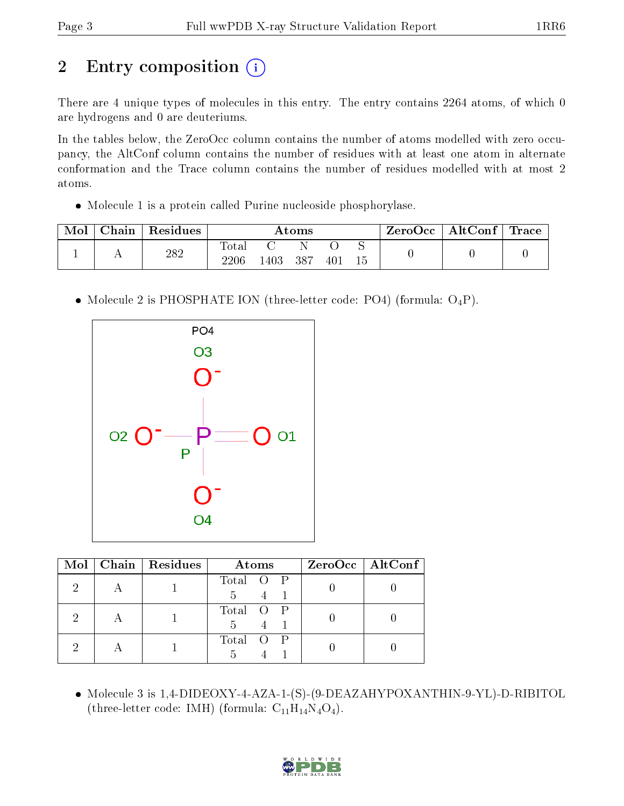# 2 Entry composition  $\left( \cdot \right)$

There are 4 unique types of molecules in this entry. The entry contains 2264 atoms, of which 0 are hydrogens and 0 are deuteriums.

In the tables below, the ZeroOcc column contains the number of atoms modelled with zero occupancy, the AltConf column contains the number of residues with at least one atom in alternate conformation and the Trace column contains the number of residues modelled with at most 2 atoms.

Molecule 1 is a protein called Purine nucleoside phosphorylase.

| Mol | Chain | Residues | Atoms         |      |      |     |    | $\text{ZeroOcc} \mid \text{AltConf} \mid$ | $\operatorname{Trace}$ $\mid$ |
|-----|-------|----------|---------------|------|------|-----|----|-------------------------------------------|-------------------------------|
|     |       | 282      | Totar<br>2206 | .403 | -387 | 401 | 15 |                                           |                               |

• Molecule 2 is PHOSPHATE ION (three-letter code: PO4) (formula:  $O_4P$ ).



|  | Mol   Chain   Residues | Atoms          | $ZeroOcc \   \$ AltConf |
|--|------------------------|----------------|-------------------------|
|  |                        | Total O P<br>5 |                         |
|  |                        | Total O P<br>5 |                         |
|  |                        | Total O P<br>5 |                         |

 Molecule 3 is 1,4-DIDEOXY-4-AZA-1-(S)-(9-DEAZAHYPOXANTHIN-9-YL)-D-RIBITOL (three-letter code: IMH) (formula:  $C_{11}H_{14}N_4O_4$ ).

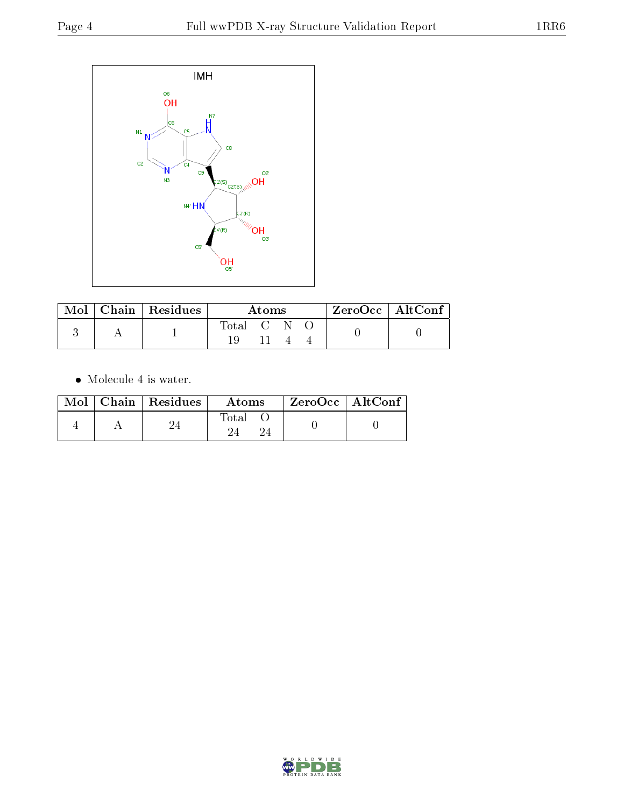

|  | $\text{Mol}$   Chain   Residues | Atoms     |  |  |  | $ZeroOcc \   \$ AltConf |
|--|---------------------------------|-----------|--|--|--|-------------------------|
|  |                                 | Total C N |  |  |  |                         |
|  |                                 |           |  |  |  |                         |

Molecule 4 is water.

|  | $Mol$   Chain   Residues | Atoms | $ZeroOcc \mid AltConf \mid$ |
|--|--------------------------|-------|-----------------------------|
|  |                          | Total |                             |

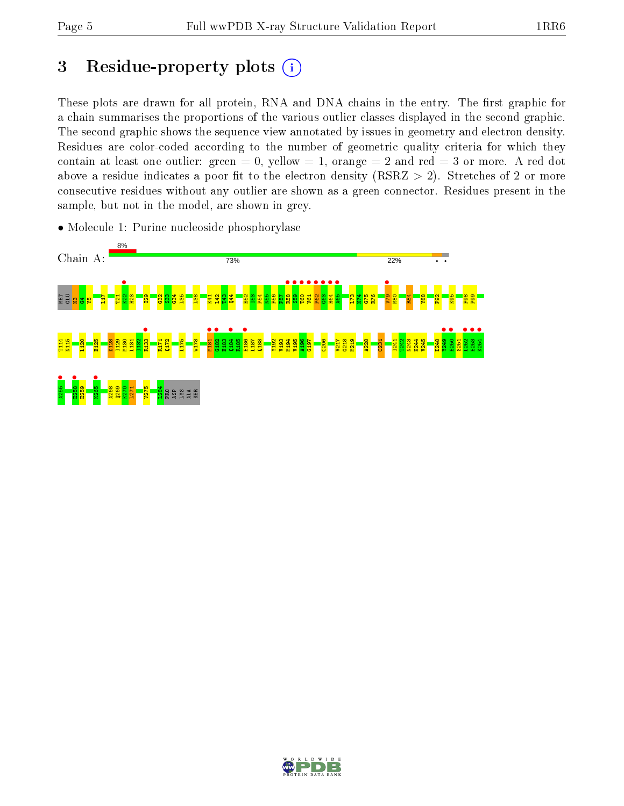# 3 Residue-property plots  $(i)$

These plots are drawn for all protein, RNA and DNA chains in the entry. The first graphic for a chain summarises the proportions of the various outlier classes displayed in the second graphic. The second graphic shows the sequence view annotated by issues in geometry and electron density. Residues are color-coded according to the number of geometric quality criteria for which they contain at least one outlier: green  $= 0$ , yellow  $= 1$ , orange  $= 2$  and red  $= 3$  or more. A red dot above a residue indicates a poor fit to the electron density (RSRZ  $> 2$ ). Stretches of 2 or more consecutive residues without any outlier are shown as a green connector. Residues present in the sample, but not in the model, are shown in grey.



• Molecule 1: Purine nucleoside phosphorylase

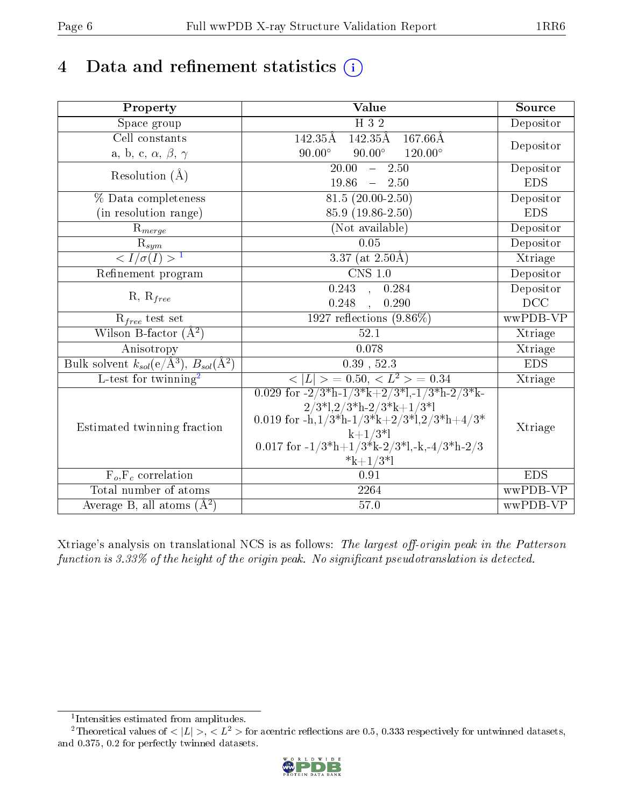# 4 Data and refinement statistics  $(i)$

| Property                                                             | Value                                                                                                                        | Source     |
|----------------------------------------------------------------------|------------------------------------------------------------------------------------------------------------------------------|------------|
| Space group                                                          | H 3 2                                                                                                                        | Depositor  |
| Cell constants                                                       | $142.35\text{\AA}$<br>142.35Å<br>$167.66\text{\AA}$                                                                          | Depositor  |
| a, b, c, $\alpha$ , $\beta$ , $\gamma$                               | $90.00^\circ$<br>$90.00^\circ$<br>$120.00^{\circ}$                                                                           |            |
| Resolution $(\AA)$                                                   | $\overline{20.00}$<br>2.50<br>$\frac{1}{2}$                                                                                  | Depositor  |
|                                                                      | 19.86<br>2.50<br>$\frac{1}{2}$                                                                                               | <b>EDS</b> |
| % Data completeness                                                  | $81.5(20.00-2.50)$                                                                                                           | Depositor  |
| (in resolution range)                                                | 85.9 (19.86-2.50)                                                                                                            | <b>EDS</b> |
| $R_{merge}$                                                          | (Not available)                                                                                                              | Depositor  |
| $\mathcal{R}_{\underline{sym}}$                                      | 0.05                                                                                                                         | Depositor  |
| $\sqrt{I/\sigma(I)} > 1$                                             | $\overline{3.37}$ (at 2.50Å)                                                                                                 | Xtriage    |
| Refinement program                                                   | $CNS$ 1.0                                                                                                                    | Depositor  |
| $R, R_{free}$                                                        | 0.243<br>0.284                                                                                                               | Depositor  |
|                                                                      | 0.248<br>0.290                                                                                                               | DCC        |
| $R_{free}$ test set                                                  | $1927$ reflections $(9.86\%)$                                                                                                | wwPDB-VP   |
| Wilson B-factor $(A^2)$                                              | 52.1                                                                                                                         | Xtriage    |
| Anisotropy                                                           | 0.078                                                                                                                        | Xtriage    |
| Bulk solvent $k_{sol}(e/\mathring{A}^3)$ , $B_{sol}(\mathring{A}^2)$ | $0.39$ , $52.3$                                                                                                              | <b>EDS</b> |
| L-test for twinning <sup>2</sup>                                     | $\langle  L  \rangle = 0.50, \langle L^2 \rangle = 0.34$                                                                     | Xtriage    |
|                                                                      | 0.029 for $-2/3$ <sup>*</sup> h $-1/3$ <sup>*</sup> k $+2/3$ <sup>*</sup> l, $-1/3$ <sup>*</sup> h $-2/3$ <sup>*</sup> k $-$ |            |
|                                                                      | $2/3*1,2/3*h-2/3*k+1/3*1$                                                                                                    |            |
| Estimated twinning fraction                                          | 0.019 for $-h, 1/3*h-1/3*k+2/3*1, 2/3*h+4/3*$                                                                                | Xtriage    |
|                                                                      | $k+1/3*1$                                                                                                                    |            |
|                                                                      | 0.017 for $-1/3*h+1/3*k-2/3'l,-k,-4/3*h-2/3$<br>$*k+1/3*1$                                                                   |            |
| $F_o, F_c$ correlation                                               | 0.91                                                                                                                         | <b>EDS</b> |
| Total number of atoms                                                | 2264                                                                                                                         | wwPDB-VP   |
| Average B, all atoms $(A^2)$                                         | $57.0\,$                                                                                                                     | wwPDB-VP   |
|                                                                      |                                                                                                                              |            |

Xtriage's analysis on translational NCS is as follows: The largest off-origin peak in the Patterson function is  $3.33\%$  of the height of the origin peak. No significant pseudotranslation is detected.

<sup>&</sup>lt;sup>2</sup>Theoretical values of  $\langle |L| \rangle$ ,  $\langle L^2 \rangle$  for acentric reflections are 0.5, 0.333 respectively for untwinned datasets, and 0.375, 0.2 for perfectly twinned datasets.



<span id="page-5-1"></span><span id="page-5-0"></span><sup>1</sup> Intensities estimated from amplitudes.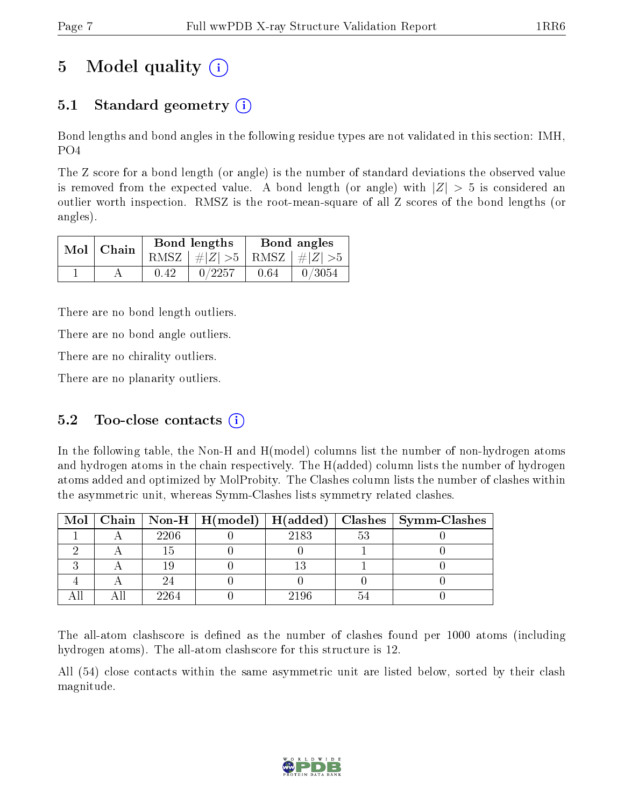# 5 Model quality  $(i)$

### 5.1 Standard geometry  $\overline{()}$

Bond lengths and bond angles in the following residue types are not validated in this section: IMH, PO4

The Z score for a bond length (or angle) is the number of standard deviations the observed value is removed from the expected value. A bond length (or angle) with  $|Z| > 5$  is considered an outlier worth inspection. RMSZ is the root-mean-square of all Z scores of the bond lengths (or angles).

|  | $Mol$   Chain |      | Bond lengths                    | Bond angles |        |  |
|--|---------------|------|---------------------------------|-------------|--------|--|
|  |               |      | RMSZ $ #Z  > 5$ RMSZ $ #Z  > 5$ |             |        |  |
|  |               | 0.42 | 0/2257                          | 0.64        | 0/3054 |  |

There are no bond length outliers.

There are no bond angle outliers.

There are no chirality outliers.

There are no planarity outliers.

### 5.2 Too-close contacts  $(i)$

In the following table, the Non-H and H(model) columns list the number of non-hydrogen atoms and hydrogen atoms in the chain respectively. The H(added) column lists the number of hydrogen atoms added and optimized by MolProbity. The Clashes column lists the number of clashes within the asymmetric unit, whereas Symm-Clashes lists symmetry related clashes.

|  |      |      |       | Mol   Chain   Non-H   H(model)   H(added)   Clashes   Symm-Clashes |
|--|------|------|-------|--------------------------------------------------------------------|
|  | 2206 | 2183 | $5^3$ |                                                                    |
|  |      |      |       |                                                                    |
|  |      |      |       |                                                                    |
|  |      |      |       |                                                                    |
|  | 2264 | 2196 |       |                                                                    |

The all-atom clashscore is defined as the number of clashes found per 1000 atoms (including hydrogen atoms). The all-atom clashscore for this structure is 12.

All (54) close contacts within the same asymmetric unit are listed below, sorted by their clash magnitude.

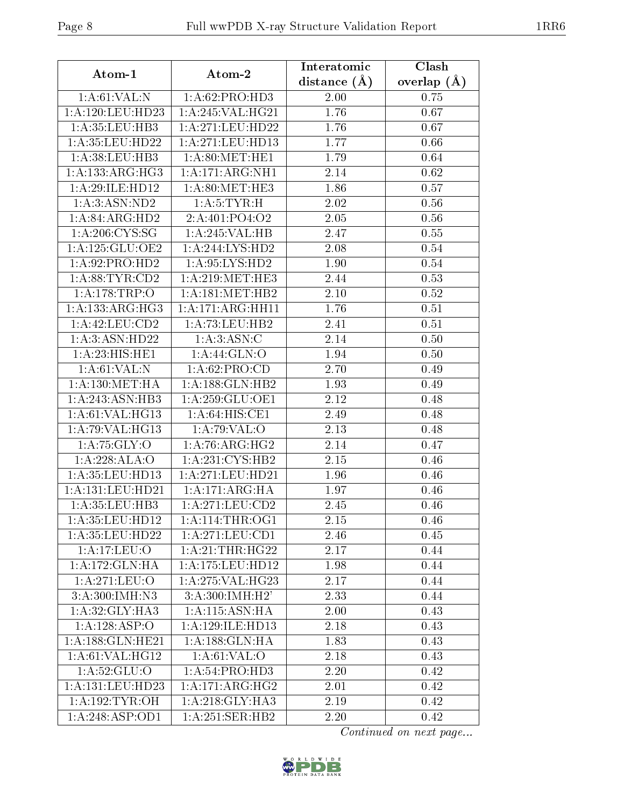| Atom-1               | Atom-2                                    | Interatomic    | Clash         |  |
|----------------------|-------------------------------------------|----------------|---------------|--|
|                      |                                           | distance $(A)$ | overlap $(A)$ |  |
| 1: A:61:VAL: N       | 1: A:62: PRO:HD3                          | 2.00           | 0.75          |  |
| 1: A: 120: LEU: HD23 | 1: A:245: VAL:HG21                        | 1.76           | 0.67          |  |
| 1:A:35:LEU:HB3       | 1: A:271:LEU:HD22                         | 1.76           | 0.67          |  |
| 1: A: 35: LEU: HD22  | 1:A:271:LEU:HD13                          | 1.77           | 0.66          |  |
| 1: A:38:LEU:HB3      | 1: A:80:MET:HE1                           | 1.79           | 0.64          |  |
| 1:A:133:ARG:HG3      | 1: A:171:ARG:NH1                          | 2.14           | 0.62          |  |
| 1:A:29:ILE:HD12      | 1: A:80:MET:HE3                           | 1.86           | 0.57          |  |
| 1:A:3:ASN:ND2        | 1: A: 5: TYR:H                            | 2.02           | 0.56          |  |
| 1:A:84:ARG:HD2       | 2:A:401:PO4:O2                            | 2.05           | 0.56          |  |
| 1: A:206: CYS:SG     | 1:A:245:VAL:HB                            | 2.47           | 0.55          |  |
| 1: A: 125: GLU: OE2  | 1: A:244: LYS: HD2                        | 2.08           | $0.54\,$      |  |
| 1:A:92:PRO:HD2       | 1: A:95: LYS: HD2                         | 1.90           | 0.54          |  |
| 1: A:88: TYR:CD2     | 1: A:219:MET:HE3                          | 2.44           | 0.53          |  |
| 1: A:178:TRP:O       | $1:\overline{A}:181:\text{MET:HB2}$       | 2.10           | 0.52          |  |
| 1:A:133:ARG:HG3      | 1: A:171: ARG:HH11                        | 1.76           | 0.51          |  |
| 1: A:42:LEU:CD2      | 1:A:73:LEU:HB2                            | 2.41           | 0.51          |  |
| 1:A:3:ASN:HD22       | 1: A:3: ASN:C                             | 2.14           | 0.50          |  |
| 1:A:23:HIS:HE1       | 1: A:44: GLN:O                            | 1.94           | 0.50          |  |
| 1: A:61:VAL: N       | 1:A:62:PRO:CD                             | 2.70           | 0.49          |  |
| 1: A: 130: MET: HA   | 1: A: 188: GLN: HB2                       | 1.93           | 0.49          |  |
| 1:A:243:ASN:HB3      | 1: A:259: GLU:OE1                         | 2.12           | 0.48          |  |
| 1: A:61: VAL:HG13    | 1: A:64: HIS: CE1                         | 2.49           | 0.48          |  |
| 1: A:79: VAL:HG13    | 1:A:79:VAL:O                              | 2.13           | 0.48          |  |
| 1: A: 75: GLY: O     | 1: A:76: ARG: HG2                         | 2.14           | 0.47          |  |
| 1:A:228:ALA:O        | 1: A:231: CYS:HB2                         | 2.15           | 0.46          |  |
| 1: A:35: LEU:HD13    | 1:A:271:LEU:HD21                          | 1.96           | 0.46          |  |
| 1:A:131:LEU:HD21     | 1:A:171:ARG:HA                            | 1.97           | 0.46          |  |
| 1:A:35:LEU:HB3       | 1: A:271:LEU:CD2                          | 2.45           | 0.46          |  |
| 1:A:35:LEU:HD12      | 1: A:114:THR:OG1                          | 2.15           | 0.46          |  |
| 1:A:35:LEU:HD22      | 1:A:271:LEU:CD1                           | 2.46           | 0.45          |  |
| 1:A:17:LEU:O         | 1: A:21:THR:HG22                          | 2.17           | 0.44          |  |
| 1:A:172:GLN:HA       | 1:A:175:LEU:HD12                          | 1.98           | 0.44          |  |
| 1: A:271: LEU:O      | 1: A:275: VAL:HG23                        | 2.17           | 0.44          |  |
| 3:A:300:IMH:N3       | 3: A:300: IMH:H2'                         | 2.33           | 0.44          |  |
| 1:A:32:GLY:HA3       | $1:A:115:\overline{\text{ASN:H}\text{A}}$ | 2.00           | 0.43          |  |
| 1:A:128:ASP:O        | 1:A:129:ILE:HD13                          | 2.18           | 0.43          |  |
| 1: A: 188: GLN: HE21 | 1: A: 188: GLN: HA                        | 1.83           | 0.43          |  |
| 1: A:61:VAL:HG12     | 1: A:61:VAL:O                             | 2.18           | 0.43          |  |
| 1: A:52: GLU:O       | 1:A:54:PRO:HD3                            | 2.20           | 0.42          |  |
| 1:A:131:LEU:HD23     | 1:A:171:ARG:HG2                           | 2.01           | 0.42          |  |
| 1: A: 192: TYR: OH   | 1: A:218: GLY:HA3                         | 2.19           | 0.42          |  |
| 1: A:248: ASP:OD1    | 1:A:251:SER:HB2                           | 2.20           | 0.42          |  |

Continued on next page...

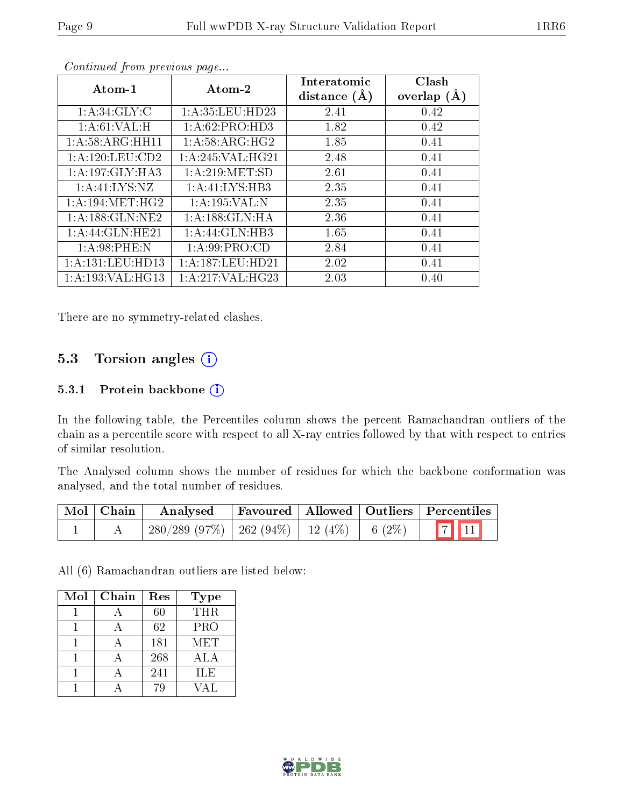| Atom-1               | Atom-2               | Interatomic<br>distance $(A)$ | Clash<br>overlap $(A)$ |
|----------------------|----------------------|-------------------------------|------------------------|
| 1: A:34: GLY: C      | 1: A: 35: LEU: HD23  | 2.41                          | 0.42                   |
| 1: A:61:VAL:H        | 1:A:62:PRO:HD3       | 1.82                          | 0.42                   |
| 1: A:58: ARG: HH11   | 1: A:58: ARG: HG2    | 1.85                          | 0.41                   |
| 1: A: 120: LEU: CD2  | 1: A:245:VAL:HG21    | 2.48                          | 0.41                   |
| 1:A:197:GLY:HA3      | 1: A:219: MET:SD     | 2.61                          | 0.41                   |
| 1: A: 41: LYS: NZ    | 1:A:41:LYS:HB3       | 2.35                          | 0.41                   |
| 1: A:194: MET:HG2    | 1:A:195:VAL:N        | 2.35                          | 0.41                   |
| 1:A:188:GLN:NE2      | 1: A: 188: GLN: HA   | 2.36                          | 0.41                   |
| 1:A:44:GLN:HE21      | 1:A:44:GLN:HB3       | 1.65                          | 0.41                   |
| 1: A:98:PHE:N        | 1: A:99: PRO:CD      | 2.84                          | 0.41                   |
| 1: A: 131: LEU: HD13 | 1: A: 187: LEU: HD21 | 2.02                          | 0.41                   |
| 1: A: 193: VAL: HG13 | 1: A:217: VAL:HG23   | 2.03                          | 0.40                   |

Continued from previous page...

There are no symmetry-related clashes.

### 5.3 Torsion angles (i)

#### 5.3.1 Protein backbone (i)

In the following table, the Percentiles column shows the percent Ramachandran outliers of the chain as a percentile score with respect to all X-ray entries followed by that with respect to entries of similar resolution.

The Analysed column shows the number of residues for which the backbone conformation was analysed, and the total number of residues.

| Mol   Chain | $\boldsymbol{\mathrm{Analysed}}$                |  | Favoured   Allowed   Outliers   Percentiles |
|-------------|-------------------------------------------------|--|---------------------------------------------|
|             | $280/289$ (97%) $262$ (94%) 12 (4%) 6 (2%) 7 11 |  |                                             |

All (6) Ramachandran outliers are listed below:

| Mol | Chain | Res | <b>Type</b> |
|-----|-------|-----|-------------|
|     |       | 60  | <b>THR</b>  |
|     |       | 62  | PRO         |
|     |       | 181 | <b>MET</b>  |
|     |       | 268 | ALA         |
|     |       | 241 | ILE         |
|     |       |     | ′Δ Ι        |

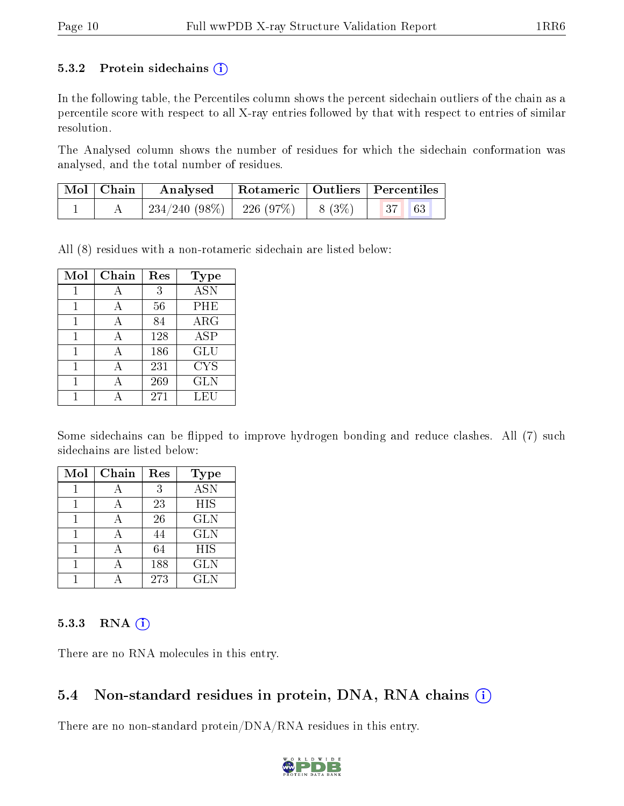#### 5.3.2 Protein sidechains  $(i)$

In the following table, the Percentiles column shows the percent sidechain outliers of the chain as a percentile score with respect to all X-ray entries followed by that with respect to entries of similar resolution.

The Analysed column shows the number of residues for which the sidechain conformation was analysed, and the total number of residues.

| Mol   Chain | $\boldsymbol{\mathrm{Analysed}}$                | Rotameric   Outliers   Percentiles |  |  |
|-------------|-------------------------------------------------|------------------------------------|--|--|
|             | $234/240$ (98\%)   226 (97\%)   8 (3\%)   37 63 |                                    |  |  |

All (8) residues with a non-rotameric sidechain are listed below:

| Mol | Chain | Res | Type       |
|-----|-------|-----|------------|
|     | А     | 3   | <b>ASN</b> |
|     | А     | 56  | PHE        |
| 1   | А     | 84  | $\rm{ARG}$ |
| 1   | А     | 128 | <b>ASP</b> |
| 1   | А     | 186 | GLU        |
| 1   | А     | 231 | <b>CYS</b> |
|     |       | 269 | <b>GLN</b> |
|     |       | 271 | LEU        |

Some sidechains can be flipped to improve hydrogen bonding and reduce clashes. All (7) such sidechains are listed below:

| Mol | Chain | Res | <b>Type</b>      |
|-----|-------|-----|------------------|
|     |       | 3   | $\overline{ASN}$ |
|     |       | 23  | HIS              |
|     |       | 26  | <b>GLN</b>       |
|     |       | 44  | <b>GLN</b>       |
|     |       | 64  | <b>HIS</b>       |
|     |       | 188 | <b>GLN</b>       |
|     |       | 273 | <b>GLN</b>       |

#### $5.3.3$  RNA  $(i)$

There are no RNA molecules in this entry.

#### 5.4 Non-standard residues in protein, DNA, RNA chains  $(i)$

There are no non-standard protein/DNA/RNA residues in this entry.

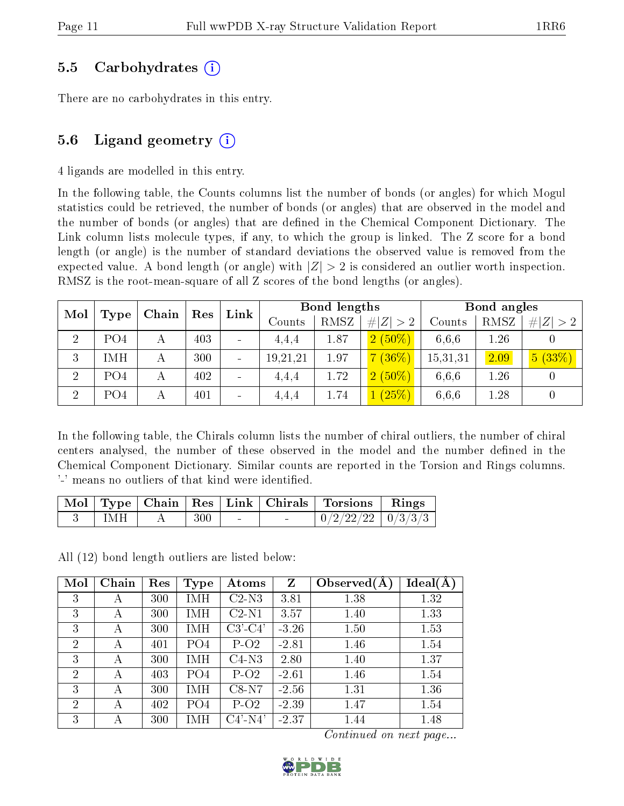### 5.5 Carbohydrates (i)

There are no carbohydrates in this entry.

### 5.6 Ligand geometry  $(i)$

4 ligands are modelled in this entry.

In the following table, the Counts columns list the number of bonds (or angles) for which Mogul statistics could be retrieved, the number of bonds (or angles) that are observed in the model and the number of bonds (or angles) that are defined in the Chemical Component Dictionary. The Link column lists molecule types, if any, to which the group is linked. The Z score for a bond length (or angle) is the number of standard deviations the observed value is removed from the expected value. A bond length (or angle) with  $|Z| > 2$  is considered an outlier worth inspection. RMSZ is the root-mean-square of all Z scores of the bond lengths (or angles).

| Mol            |                 | Chain | Res |  |          | Link |             | Bond lengths |      | Bond angles |  |  |
|----------------|-----------------|-------|-----|--|----------|------|-------------|--------------|------|-------------|--|--|
|                | Type            |       |     |  | Counts   | RMSZ | # $ Z  > 2$ | Counts       | RMSZ | $\# Z  > 2$ |  |  |
| $\overline{2}$ | PO <sub>4</sub> |       | 403 |  | 4,4,4    | 1.87 | $2(50\%)$   | 6,6,6        | 1.26 |             |  |  |
| 3              | IMH             |       | 300 |  | 19,21,21 | 1.97 | $(36\%)$    | 15,31,31     | 2.09 | 5(33%)      |  |  |
| $\overline{2}$ | PO <sub>4</sub> |       | 402 |  | 4,4,4    | 1.72 | $2(50\%)$   | 6,6,6        | 1.26 |             |  |  |
| $\overline{2}$ | PO <sub>4</sub> |       | 401 |  | 4,4,4    | 1.74 | (25%)       | 6,6,6        | 1.28 |             |  |  |

In the following table, the Chirals column lists the number of chiral outliers, the number of chiral centers analysed, the number of these observed in the model and the number defined in the Chemical Component Dictionary. Similar counts are reported in the Torsion and Rings columns. '-' means no outliers of that kind were identified.

|      |         |        | Mol   Type   Chain   Res   Link   Chirals   Torsions   Rings |  |
|------|---------|--------|--------------------------------------------------------------|--|
| TMH. | $300$ - | $\sim$ | $\mid 0/2/22/22 \mid 0/3/3/3 \mid$                           |  |

All (12) bond length outliers are listed below:

| Mol            | Chain | Res | <b>Type</b> | Atoms      | $\mathbf{Z}$ | Observed $(A)$ | Ideal(A) |
|----------------|-------|-----|-------------|------------|--------------|----------------|----------|
| 3              | А     | 300 | IMH         | $C2-N3$    | 3.81         | 1.38           | 1.32     |
| 3              | А     | 300 | IMH         | $C2-N1$    | 3.57         | 1.40           | 1.33     |
| 3              | А     | 300 | IMH         | $C3'-C4'$  | $-3.26$      | 1.50           | 1.53     |
| $\overline{2}$ | А     | 401 | PO4         | $P-O2$     | $-2.81$      | 1.46           | 1.54     |
| 3              | А     | 300 | IMH         | $C4-N3$    | 2.80         | 1.40           | 1.37     |
| $\overline{2}$ | А     | 403 | PO4         | $P-O2$     | $-2.61$      | 1.46           | 1.54     |
| 3              | A     | 300 | IMH         | $C8-N7$    | $-2.56$      | 1.31           | 1.36     |
| $\overline{2}$ | А     | 402 | PO4         | $P-O2$     | $-2.39$      | 1.47           | 1.54     |
| 3              | А     | 300 | IMH         | $C4'$ -N4' | $-2.37$      | 1.44           | 1.48     |

Continued on next page...

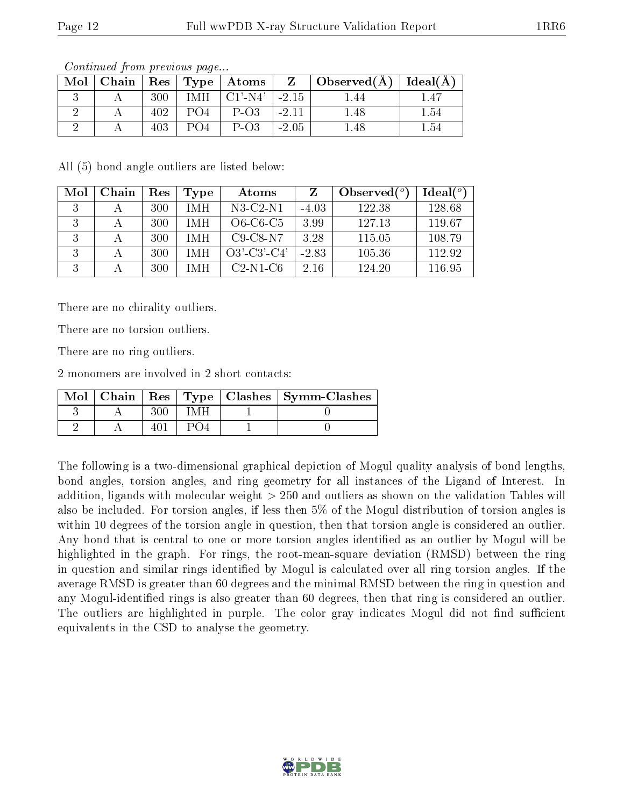| Mol | Chain   $\text{Res}$   $\text{Type}$ |     |           | $\mid$ Atoms        |         | $\top$ Observed(A) | $ $ Ideal $(A)$ |
|-----|--------------------------------------|-----|-----------|---------------------|---------|--------------------|-----------------|
|     |                                      | 300 | IMH       | $CI'$ -N4'          | $-2.15$ |                    |                 |
|     |                                      |     | $P\Omega$ | $P-O3$              | $-2.11$ | I .48              | $1.54\,$        |
|     |                                      | 403 |           | $P$ -O <sub>3</sub> | $-2.05$ |                    | $1.54\,$        |

Continued from previous page...

All (5) bond angle outliers are listed below:

| Mol | Chain | Res | Type       | Atoms          |         | Observed $\binom{o}{c}$ | Ideal(°) |
|-----|-------|-----|------------|----------------|---------|-------------------------|----------|
| 2   |       | 300 | IMH        | $N3-C2-N1$     | $-4.03$ | 122.38                  | 128.68   |
| R   |       | 300 | <b>IMH</b> | $O6-C6-C5$     | 3.99    | 127.13                  | 119.67   |
|     |       | 300 | <b>IMH</b> | $C9-C8-N7$     | 3.28    | 115.05                  | 108.79   |
| २   |       | 300 | IMH        | $O3'$ -C3'-C4' | $-2.83$ | 105.36                  | 112.92   |
|     |       | 300 | IMH        | $C2-N1-C6$     | 2.16    | 124.20                  | 116.95   |

There are no chirality outliers.

There are no torsion outliers.

There are no ring outliers.

2 monomers are involved in 2 short contacts:

|  |  | Mol   Chain   Res   Type   Clashes   Symm-Clashes |
|--|--|---------------------------------------------------|
|  |  |                                                   |
|  |  |                                                   |

The following is a two-dimensional graphical depiction of Mogul quality analysis of bond lengths, bond angles, torsion angles, and ring geometry for all instances of the Ligand of Interest. In addition, ligands with molecular weight > 250 and outliers as shown on the validation Tables will also be included. For torsion angles, if less then 5% of the Mogul distribution of torsion angles is within 10 degrees of the torsion angle in question, then that torsion angle is considered an outlier. Any bond that is central to one or more torsion angles identified as an outlier by Mogul will be highlighted in the graph. For rings, the root-mean-square deviation (RMSD) between the ring in question and similar rings identified by Mogul is calculated over all ring torsion angles. If the average RMSD is greater than 60 degrees and the minimal RMSD between the ring in question and any Mogul-identified rings is also greater than 60 degrees, then that ring is considered an outlier. The outliers are highlighted in purple. The color gray indicates Mogul did not find sufficient equivalents in the CSD to analyse the geometry.

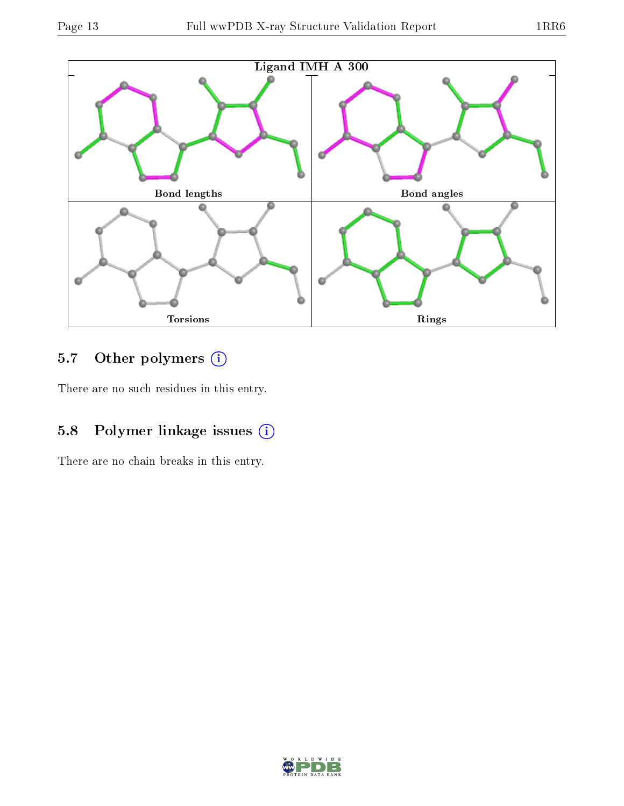

### 5.7 [O](https://www.wwpdb.org/validation/2017/XrayValidationReportHelp#nonstandard_residues_and_ligands)ther polymers (i)

There are no such residues in this entry.

## 5.8 Polymer linkage issues (i)

There are no chain breaks in this entry.

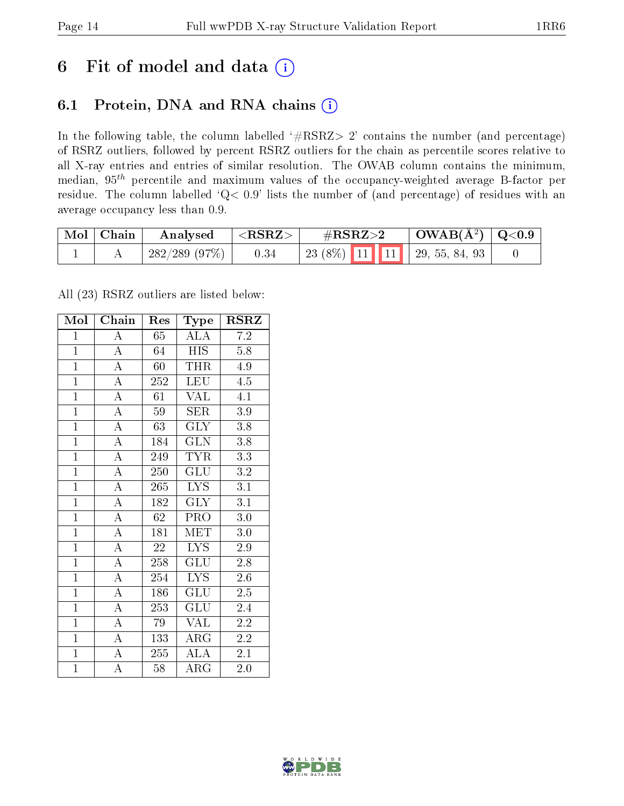## 6 Fit of model and data  $(i)$

### 6.1 Protein, DNA and RNA chains  $(i)$

In the following table, the column labelled  $#RSRZ> 2'$  contains the number (and percentage) of RSRZ outliers, followed by percent RSRZ outliers for the chain as percentile scores relative to all X-ray entries and entries of similar resolution. The OWAB column contains the minimum, median,  $95<sup>th</sup>$  percentile and maximum values of the occupancy-weighted average B-factor per residue. The column labelled ' $Q< 0.9$ ' lists the number of (and percentage) of residues with an average occupancy less than 0.9.

| Mol | $\mid$ Chain | Analysed        | ${ <\hspace{-1.5pt} {\rm RSRZ}\hspace{-1.5pt}>}$ | $\rm \#RSRZ{>}2$                    | $\text{OWAB}(\AA^2)   \text{Q}<0.9$ |  |
|-----|--------------|-----------------|--------------------------------------------------|-------------------------------------|-------------------------------------|--|
|     |              | $-282/289(97%)$ | 0.34                                             | 23 (8\%)   11   11   29, 55, 84, 93 |                                     |  |

All (23) RSRZ outliers are listed below:

| Mol            | Chain              | Res             | Type                    | <b>RSRZ</b>      |
|----------------|--------------------|-----------------|-------------------------|------------------|
| $\mathbf{1}$   | $\boldsymbol{A}$   | 65              | ALA                     | 7.2              |
| $\overline{1}$ | $\overline{A}$     | 64              | <b>HIS</b>              | 5.8              |
| $\overline{1}$ | $\overline{A}$     | 60              | <b>THR</b>              | 4.9              |
| $\overline{1}$ | $\overline{\rm A}$ | 252             | <b>LEU</b>              | 4.5              |
| $\overline{1}$ | $\overline{A}$     | $\overline{61}$ | $\overline{\text{VAL}}$ | $\overline{4.1}$ |
| $\overline{1}$ | $\overline{\rm A}$ | 59              | <b>SER</b>              | $3.9\,$          |
| $\overline{1}$ | $\overline{A}$     | 63              | <b>GLY</b>              | $\overline{3}.8$ |
| $\overline{1}$ | $\overline{A}$     | 184             | GLN                     | 3.8              |
| $\mathbf{1}$   | $\overline{A}$     | 249             | <b>TYR</b>              | 3.3              |
| $\overline{1}$ | $\overline{A}$     | 250             | $\overline{{\rm GLU}}$  | $\overline{3.2}$ |
| $\mathbf{1}$   | $\overline{A}$     | 265             | <b>LYS</b>              | $\overline{3.1}$ |
| $\overline{1}$ | $\overline{\rm A}$ | 182             | $\overline{\text{GLY}}$ | $\overline{3.1}$ |
| $\overline{1}$ | $\overline{A}$     | $\overline{62}$ | $\overline{\text{PRO}}$ | $\overline{3.0}$ |
| $\mathbf{1}$   | $\overline{\rm A}$ | 181             | $ME\overline{T}$        | $3.0\,$          |
| $\overline{1}$ | $\overline{A}$     | $\overline{22}$ | $\overline{\text{LYS}}$ | $\overline{2.9}$ |
| $\overline{1}$ | $\overline{A}$     | 258             | $\overline{{\rm GLU}}$  | 2.8              |
| $\overline{1}$ | $\overline{\rm A}$ | 254             | $\overline{\text{LYS}}$ | $2.6\,$          |
| $\overline{1}$ | $\overline{A}$     | 186             | $\overline{{\rm GLU}}$  | $2.\overline{5}$ |
| $\overline{1}$ | $\overline{\rm A}$ | 253             | GLU                     | 2.4              |
| $\overline{1}$ | $\overline{A}$     | 79              | <b>VAL</b>              | 2.2              |
| $\overline{1}$ | $\overline{A}$     | 133             | ${\rm ARG}$             | 2.2              |
| $\overline{1}$ | $\overline{A}$     | 255             | $\overline{\rm ALA}$    | $\overline{2.1}$ |
| $\mathbf{1}$   | $\overline{\rm A}$ | 58              | $\rm{ARG}$              | $2.0\,$          |

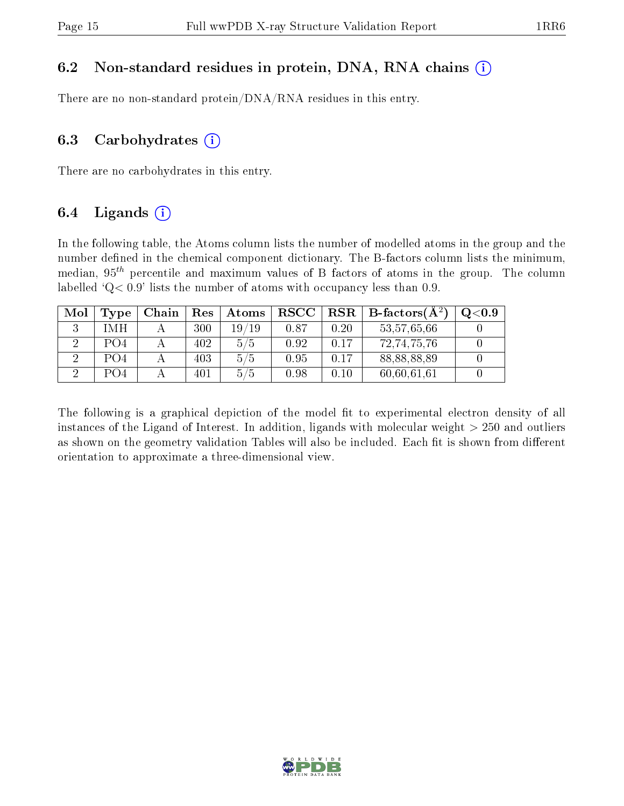#### 6.2 Non-standard residues in protein, DNA, RNA chains  $(i)$

There are no non-standard protein/DNA/RNA residues in this entry.

#### 6.3 Carbohydrates  $(i)$

There are no carbohydrates in this entry.

### 6.4 Ligands  $(i)$

In the following table, the Atoms column lists the number of modelled atoms in the group and the number defined in the chemical component dictionary. The B-factors column lists the minimum, median,  $95<sup>th</sup>$  percentile and maximum values of B factors of atoms in the group. The column labelled  $Q < 0.9$ ' lists the number of atoms with occupancy less than 0.9.

| Mol | Type             | Chain | Res | Atoms | $_{\rm RSCC}$ | RSR  | $\overline{\phantom{a}}$ B-factors $\overline{(\text{A}^2)}$ | Q <sub>0.9</sub> |
|-----|------------------|-------|-----|-------|---------------|------|--------------------------------------------------------------|------------------|
|     | I MH             |       | 300 | 19/19 | 0.87          | 0.20 | 53,57,65,66                                                  |                  |
|     | PO <sub>4</sub>  |       | 402 | 5/5   | 0.92          | 0.17 | 72,74,75,76                                                  |                  |
|     | P <sub>O</sub> 4 |       | 403 | 5/5   | 0.95          | 0.17 | 88,88,88,89                                                  |                  |
|     | PO4              |       | 401 | 5/5   | 0.98          | 0.10 | 60,60,61,61                                                  |                  |

The following is a graphical depiction of the model fit to experimental electron density of all instances of the Ligand of Interest. In addition, ligands with molecular weight  $> 250$  and outliers as shown on the geometry validation Tables will also be included. Each fit is shown from different orientation to approximate a three-dimensional view.